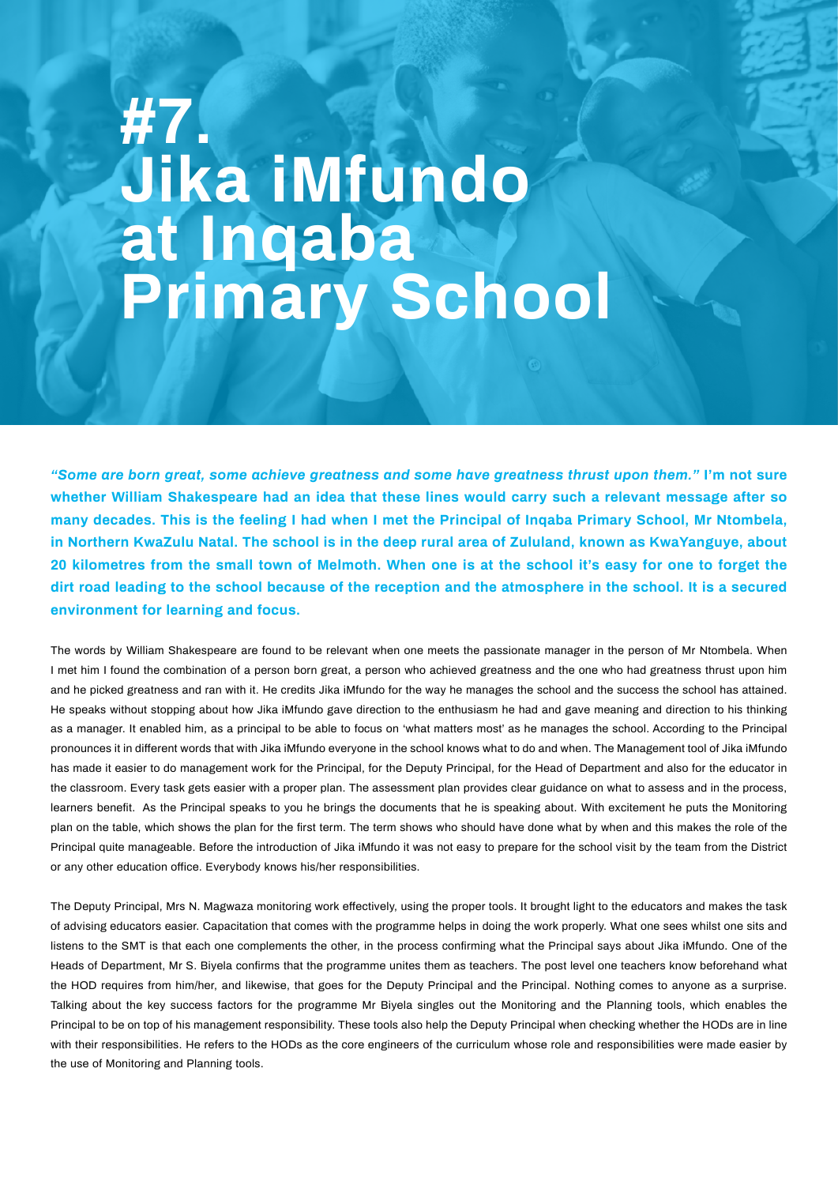## **#7. Jika iMfundo at Inqaba Primary School**

*"Some are born great, some achieve greatness and some have greatness thrust upon them."* **I'm not sure whether William Shakespeare had an idea that these lines would carry such a relevant message after so many decades. This is the feeling I had when I met the Principal of Inqaba Primary School, Mr Ntombela, in Northern KwaZulu Natal. The school is in the deep rural area of Zululand, known as KwaYanguye, about 20 kilometres from the small town of Melmoth. When one is at the school it's easy for one to forget the dirt road leading to the school because of the reception and the atmosphere in the school. It is a secured environment for learning and focus.**

The words by William Shakespeare are found to be relevant when one meets the passionate manager in the person of Mr Ntombela. When I met him I found the combination of a person born great, a person who achieved greatness and the one who had greatness thrust upon him and he picked greatness and ran with it. He credits Jika iMfundo for the way he manages the school and the success the school has attained. He speaks without stopping about how Jika iMfundo gave direction to the enthusiasm he had and gave meaning and direction to his thinking as a manager. It enabled him, as a principal to be able to focus on 'what matters most' as he manages the school. According to the Principal pronounces it in different words that with Jika iMfundo everyone in the school knows what to do and when. The Management tool of Jika iMfundo has made it easier to do management work for the Principal, for the Deputy Principal, for the Head of Department and also for the educator in the classroom. Every task gets easier with a proper plan. The assessment plan provides clear guidance on what to assess and in the process, learners benefit. As the Principal speaks to you he brings the documents that he is speaking about. With excitement he puts the Monitoring plan on the table, which shows the plan for the first term. The term shows who should have done what by when and this makes the role of the Principal quite manageable. Before the introduction of Jika iMfundo it was not easy to prepare for the school visit by the team from the District or any other education office. Everybody knows his/her responsibilities.

The Deputy Principal, Mrs N. Magwaza monitoring work effectively, using the proper tools. It brought light to the educators and makes the task of advising educators easier. Capacitation that comes with the programme helps in doing the work properly. What one sees whilst one sits and listens to the SMT is that each one complements the other, in the process confirming what the Principal says about Jika iMfundo. One of the Heads of Department, Mr S. Biyela confirms that the programme unites them as teachers. The post level one teachers know beforehand what the HOD requires from him/her, and likewise, that goes for the Deputy Principal and the Principal. Nothing comes to anyone as a surprise. Talking about the key success factors for the programme Mr Biyela singles out the Monitoring and the Planning tools, which enables the Principal to be on top of his management responsibility. These tools also help the Deputy Principal when checking whether the HODs are in line with their responsibilities. He refers to the HODs as the core engineers of the curriculum whose role and responsibilities were made easier by the use of Monitoring and Planning tools.